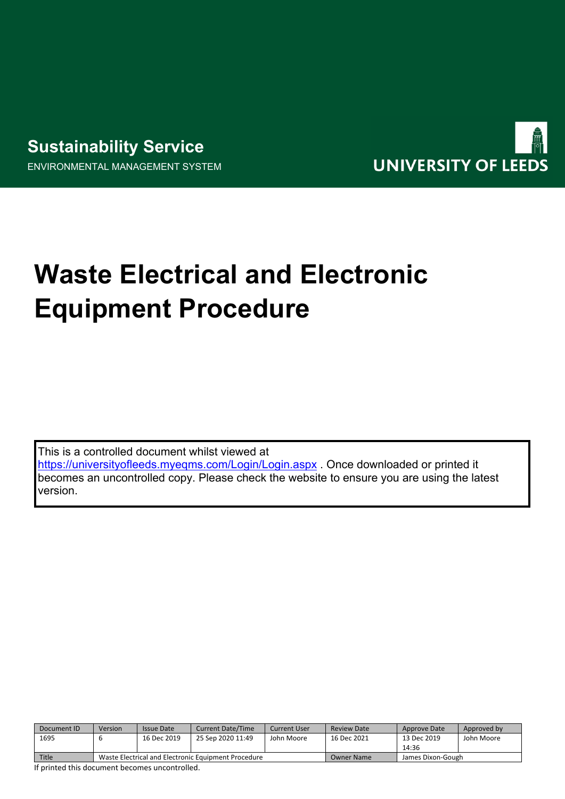# **Sustainability Service** ENVIRONMENTAL MANAGEMENT SYSTEM



# **Waste Electrical and Electronic Equipment Procedure**

This is a controlled document whilst viewed at <https://universityofleeds.myeqms.com/Login/Login.aspx> . Once downloaded or printed it becomes an uncontrolled copy. Please check the website to ensure you are using the latest version.

| Document ID | Version                                             | <b>Issue Date</b> | <b>Current Date/Time</b> | Current User | <b>Review Date</b> | Approve Date      | Approved by |
|-------------|-----------------------------------------------------|-------------------|--------------------------|--------------|--------------------|-------------------|-------------|
| 1695        |                                                     | 16 Dec 2019       | 25 Sep 2020 11:49        | John Moore   | 16 Dec 2021        | 13 Dec 2019       | John Moore  |
|             |                                                     |                   |                          |              |                    | 14:36             |             |
| Title       | Waste Electrical and Electronic Equipment Procedure |                   |                          |              | <b>Owner Name</b>  | James Dixon-Gough |             |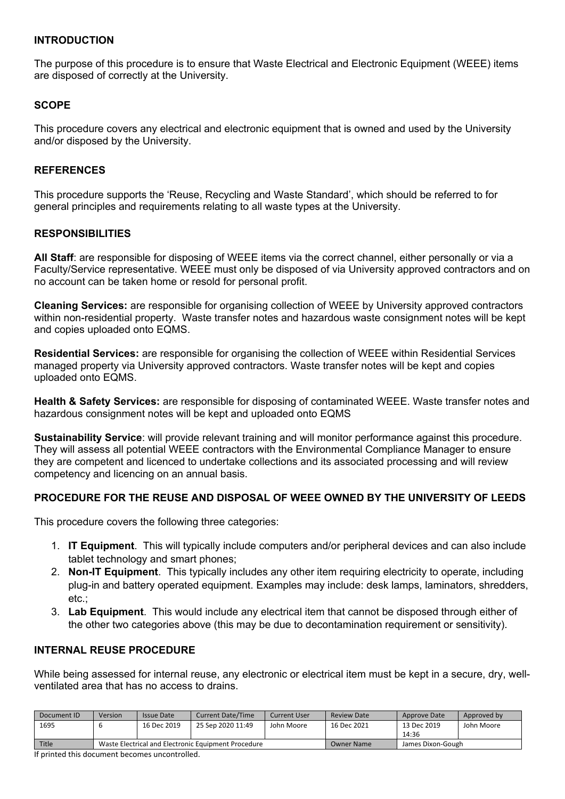#### **INTRODUCTION**

The purpose of this procedure is to ensure that Waste Electrical and Electronic Equipment (WEEE) items are disposed of correctly at the University.

# **SCOPE**

This procedure covers any electrical and electronic equipment that is owned and used by the University and/or disposed by the University.

#### **REFERENCES**

This procedure supports the 'Reuse, Recycling and Waste Standard', which should be referred to for general principles and requirements relating to all waste types at the University.

#### **RESPONSIBILITIES**

**All Staff**: are responsible for disposing of WEEE items via the correct channel, either personally or via a Faculty/Service representative. WEEE must only be disposed of via University approved contractors and on no account can be taken home or resold for personal profit.

**Cleaning Services:** are responsible for organising collection of WEEE by University approved contractors within non-residential property. Waste transfer notes and hazardous waste consignment notes will be kept and copies uploaded onto EQMS.

**Residential Services:** are responsible for organising the collection of WEEE within Residential Services managed property via University approved contractors. Waste transfer notes will be kept and copies uploaded onto EQMS.

**Health & Safety Services:** are responsible for disposing of contaminated WEEE. Waste transfer notes and hazardous consignment notes will be kept and uploaded onto EQMS

**Sustainability Service**: will provide relevant training and will monitor performance against this procedure. They will assess all potential WEEE contractors with the Environmental Compliance Manager to ensure they are competent and licenced to undertake collections and its associated processing and will review competency and licencing on an annual basis.

# **PROCEDURE FOR THE REUSE AND DISPOSAL OF WEEE OWNED BY THE UNIVERSITY OF LEEDS**

This procedure covers the following three categories:

- 1. **IT Equipment**. This will typically include computers and/or peripheral devices and can also include tablet technology and smart phones;
- 2. **Non-IT Equipment**. This typically includes any other item requiring electricity to operate, including plug-in and battery operated equipment. Examples may include: desk lamps, laminators, shredders, etc.;
- 3. **Lab Equipment**. This would include any electrical item that cannot be disposed through either of the other two categories above (this may be due to decontamination requirement or sensitivity).

#### **INTERNAL REUSE PROCEDURE**

While being assessed for internal reuse, any electronic or electrical item must be kept in a secure, dry, wellventilated area that has no access to drains.

| Document ID | Version                                             | <b>Issue Date</b> | <b>Current Date/Time</b> | Current User | <b>Review Date</b> | Approve Date      | Approved by |
|-------------|-----------------------------------------------------|-------------------|--------------------------|--------------|--------------------|-------------------|-------------|
| 1695        |                                                     | 16 Dec 2019       | 25 Sep 2020 11:49        | John Moore   | 16 Dec 2021        | 13 Dec 2019       | John Moore  |
|             |                                                     |                   |                          |              |                    | 14:36             |             |
| Title       | Waste Electrical and Electronic Equipment Procedure |                   |                          |              | <b>Owner Name</b>  | James Dixon-Gough |             |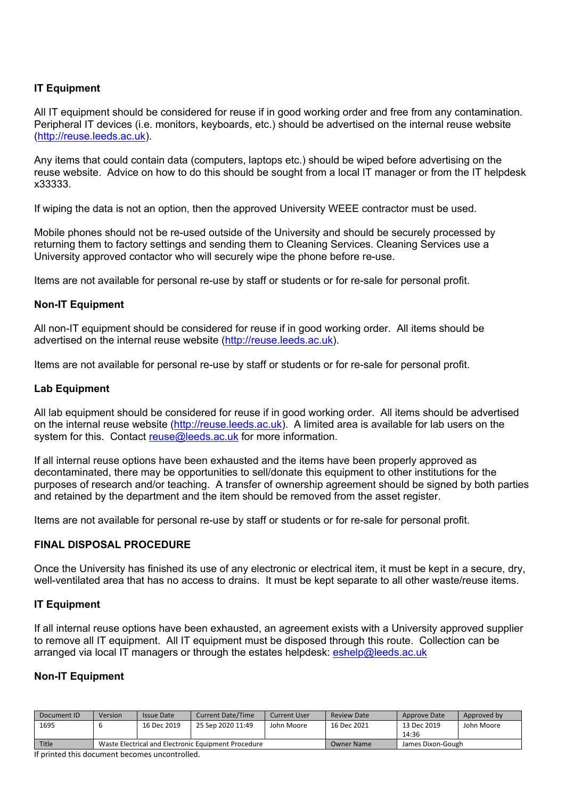# **IT Equipment**

All IT equipment should be considered for reuse if in good working order and free from any contamination. Peripheral IT devices (i.e. monitors, keyboards, etc.) should be advertised on the internal reuse website ([http://reuse.leeds.ac.uk](http://reuse.leeds.ac.uk/)).

Any items that could contain data (computers, laptops etc.) should be wiped before advertising on the reuse website. Advice on how to do this should be sought from a local IT manager or from the IT helpdesk x33333.

If wiping the data is not an option, then the approved University WEEE contractor must be used.

Mobile phones should not be re-used outside of the University and should be securely processed by returning them to factory settings and sending them to Cleaning Services. Cleaning Services use a University approved contactor who will securely wipe the phone before re-use.

Items are not available for personal re-use by staff or students or for re-sale for personal profit.

# **Non-IT Equipment**

All non-IT equipment should be considered for reuse if in good working order. All items should be advertised on the internal reuse website [\(http://reuse.leeds.ac.uk\)](http://reuse.leeds.ac.uk/).

Items are not available for personal re-use by staff or students or for re-sale for personal profit.

# **Lab Equipment**

All lab equipment should be considered for reuse if in good working order. All items should be advertised on the internal reuse website [\(http://reuse.leeds.ac.uk](http://reuse.leeds.ac.uk/)). A limited area is available for lab users on the system for this. Contact [reuse@leeds.ac.uk](mailto:reuse@leeds.ac.uk) for more information.

If all internal reuse options have been exhausted and the items have been properly approved as decontaminated, there may be opportunities to sell/donate this equipment to other institutions for the purposes of research and/or teaching. A transfer of ownership agreement should be signed by both parties and retained by the department and the item should be removed from the asset register.

Items are not available for personal re-use by staff or students or for re-sale for personal profit.

#### **FINAL DISPOSAL PROCEDURE**

Once the University has finished its use of any electronic or electrical item, it must be kept in a secure, dry, well-ventilated area that has no access to drains. It must be kept separate to all other waste/reuse items.

#### **IT Equipment**

If all internal reuse options have been exhausted, an agreement exists with a University approved supplier to remove all IT equipment. All IT equipment must be disposed through this route. Collection can be arranged via local IT managers or through the estates helpdesk: [eshelp@leeds.ac.uk](mailto:eshelp@leeds.ac.uk)

# **Non-IT Equipment**

| Document ID | Version                                             | <b>Issue Date</b> | <b>Current Date/Time</b> | Current User | <b>Review Date</b> | Approve Date      | Approved by |
|-------------|-----------------------------------------------------|-------------------|--------------------------|--------------|--------------------|-------------------|-------------|
| 1695        |                                                     | 16 Dec 2019       | 25 Sep 2020 11:49        | John Moore   | 16 Dec 2021        | 13 Dec 2019       | John Moore  |
|             |                                                     |                   |                          |              |                    | 14:36             |             |
| Title       | Waste Electrical and Electronic Equipment Procedure |                   |                          |              | <b>Owner Name</b>  | James Dixon-Gough |             |